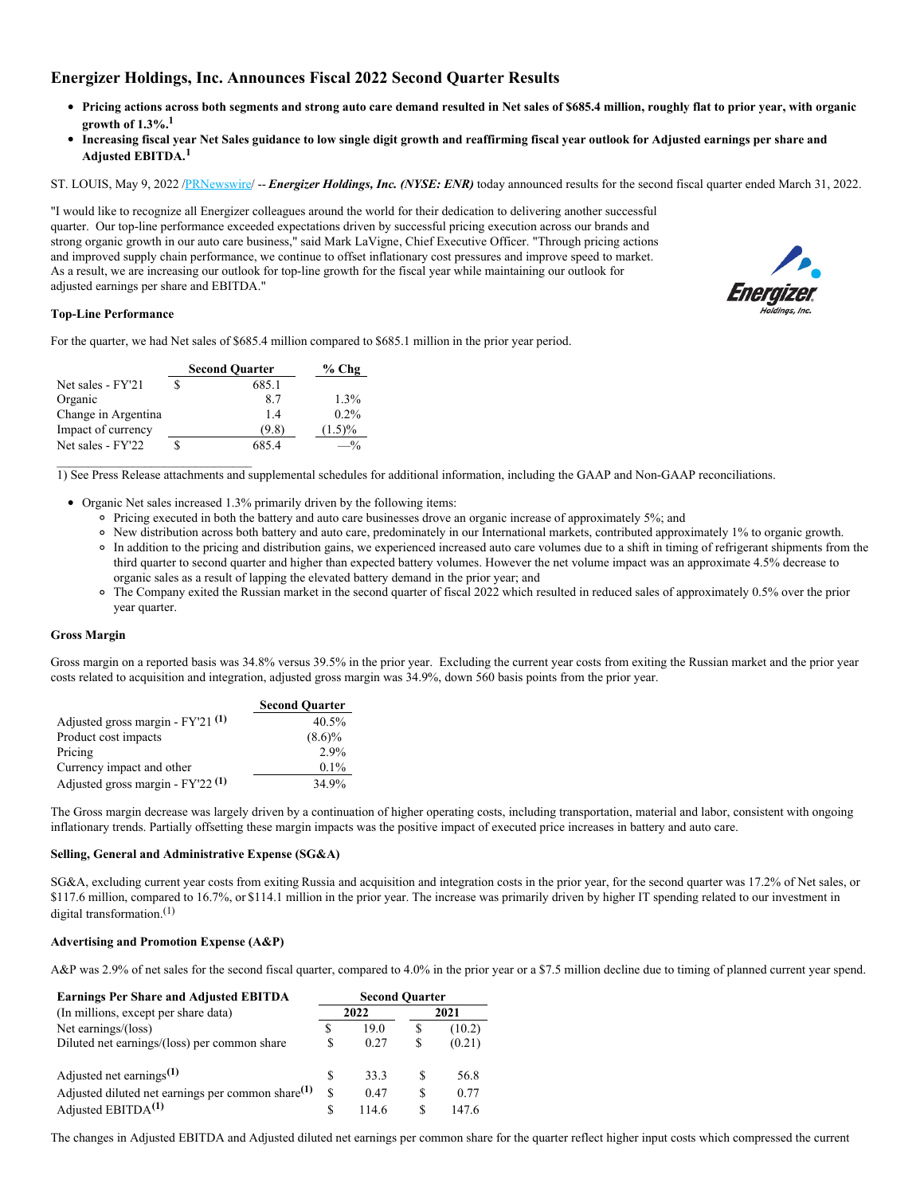# **Energizer Holdings, Inc. Announces Fiscal 2022 Second Quarter Results**

- Pricing actions across both segments and strong auto care demand resulted in Net sales of \$685.4 million, roughly flat to prior year, with organic **growth of 1.3%.<sup>1</sup>**
- Increasing fiscal year Net Sales guidance to low single digit growth and reaffirming fiscal year outlook for Adjusted earnings per share and **Adjusted EBITDA.<sup>1</sup>**

ST. LOUIS, May 9, 2022 [/PRNewswire](http://www.prnewswire.com/)/ -- *Energizer Holdings, Inc. (NYSE: ENR)* today announced results for the second fiscal quarter ended March 31, 2022.

"I would like to recognize all Energizer colleagues around the world for their dedication to delivering another successful quarter. Our top-line performance exceeded expectations driven by successful pricing execution across our brands and strong organic growth in our auto care business," said Mark LaVigne, Chief Executive Officer. "Through pricing actions and improved supply chain performance, we continue to offset inflationary cost pressures and improve speed to market. As a result, we are increasing our outlook for top-line growth for the fiscal year while maintaining our outlook for adjusted earnings per share and EBITDA."



# **Top-Line Performance**

For the quarter, we had Net sales of \$685.4 million compared to \$685.1 million in the prior year period.

|                     | <b>Second Quarter</b> | $%$ Chg   |
|---------------------|-----------------------|-----------|
| Net sales - FY'21   | 685.1                 |           |
| Organic             | 87                    | $1.3\%$   |
| Change in Argentina | 14                    | $0.2\%$   |
| Impact of currency  | (9.8)                 | $(1.5)\%$ |
| Net sales - FY'22   | 685.4                 | $-$ %     |

 $\mathcal{L}_\text{max}$  and  $\mathcal{L}_\text{max}$  and  $\mathcal{L}_\text{max}$  and  $\mathcal{L}_\text{max}$ 

1) See Press Release attachments and supplemental schedules for additional information, including the GAAP and Non-GAAP reconciliations.

- Organic Net sales increased 1.3% primarily driven by the following items:
	- Pricing executed in both the battery and auto care businesses drove an organic increase of approximately 5%; and
	- New distribution across both battery and auto care, predominately in our International markets, contributed approximately 1% to organic growth.
	- In addition to the pricing and distribution gains, we experienced increased auto care volumes due to a shift in timing of refrigerant shipments from the third quarter to second quarter and higher than expected battery volumes. However the net volume impact was an approximate 4.5% decrease to organic sales as a result of lapping the elevated battery demand in the prior year; and
	- <sup>o</sup> The Company exited the Russian market in the second quarter of fiscal 2022 which resulted in reduced sales of approximately 0.5% over the prior year quarter.

#### **Gross Margin**

Gross margin on a reported basis was 34.8% versus 39.5% in the prior year. Excluding the current year costs from exiting the Russian market and the prior year costs related to acquisition and integration, adjusted gross margin was 34.9%, down 560 basis points from the prior year.

|                                                | <b>Second Quarter</b> |
|------------------------------------------------|-----------------------|
| Adjusted gross margin - FY'21 <sup>(1)</sup>   | 40.5%                 |
| Product cost impacts                           | $(8.6)\%$             |
| Pricing                                        | $2.9\%$               |
| Currency impact and other                      | $0.1\%$               |
| Adjusted gross margin - $FY'22$ <sup>(1)</sup> | 34.9%                 |

The Gross margin decrease was largely driven by a continuation of higher operating costs, including transportation, material and labor, consistent with ongoing inflationary trends. Partially offsetting these margin impacts was the positive impact of executed price increases in battery and auto care.

#### **Selling, General and Administrative Expense (SG&A)**

SG&A, excluding current year costs from exiting Russia and acquisition and integration costs in the prior year, for the second quarter was 17.2% of Net sales, or \$117.6 million, compared to 16.7%, or \$114.1 million in the prior year. The increase was primarily driven by higher IT spending related to our investment in digital transformation.<sup>(1)</sup>

## **Advertising and Promotion Expense (A&P)**

A&P was 2.9% of net sales for the second fiscal quarter, compared to 4.0% in the prior year or a \$7.5 million decline due to timing of planned current year spend.

| <b>Earnings Per Share and Adjusted EBITDA</b>        | <b>Second Quarter</b> |       |   |        |  |  |  |
|------------------------------------------------------|-----------------------|-------|---|--------|--|--|--|
| (In millions, except per share data)                 |                       | 2022  |   | 2021   |  |  |  |
| Net earnings/(loss)                                  |                       | 19.0  | S | (10.2) |  |  |  |
| Diluted net earnings/(loss) per common share         | S                     | 0.27  | S | (0.21) |  |  |  |
| Adjusted net earnings <sup>(1)</sup>                 | S                     | 33.3  | S | 56.8   |  |  |  |
| Adjusted diluted net earnings per common share $(1)$ | \$.                   | 0.47  | S | 0.77   |  |  |  |
| Adjusted $EBITDA(1)$                                 | S                     | 114.6 | S | 147.6  |  |  |  |

The changes in Adjusted EBITDA and Adjusted diluted net earnings per common share for the quarter reflect higher input costs which compressed the current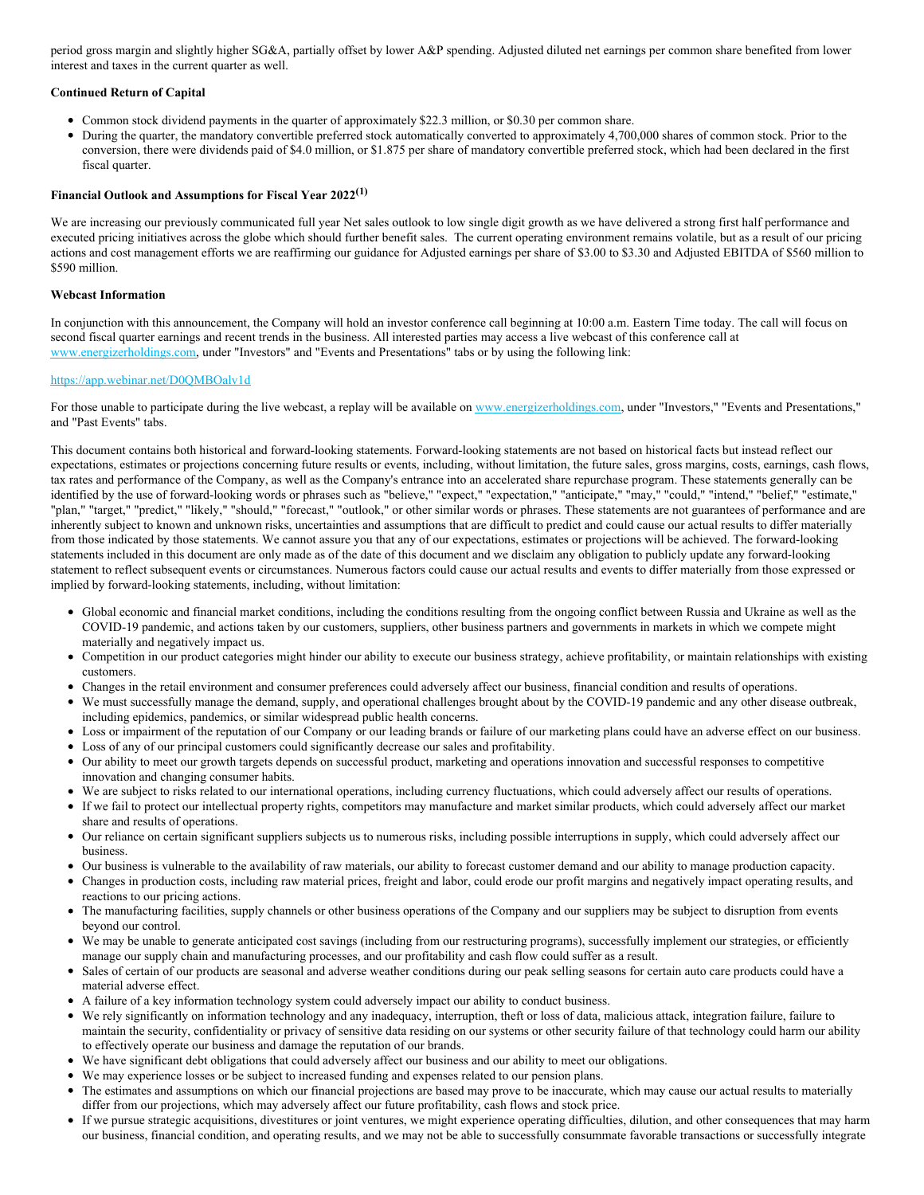period gross margin and slightly higher SG&A, partially offset by lower A&P spending. Adjusted diluted net earnings per common share benefited from lower interest and taxes in the current quarter as well.

# **Continued Return of Capital**

- Common stock dividend payments in the quarter of approximately \$22.3 million, or \$0.30 per common share.
- During the quarter, the mandatory convertible preferred stock automatically converted to approximately 4,700,000 shares of common stock. Prior to the conversion, there were dividends paid of \$4.0 million, or \$1.875 per share of mandatory convertible preferred stock, which had been declared in the first fiscal quarter.

# **Financial Outlook and Assumptions for Fiscal Year 2022 (1)**

We are increasing our previously communicated full year Net sales outlook to low single digit growth as we have delivered a strong first half performance and executed pricing initiatives across the globe which should further benefit sales. The current operating environment remains volatile, but as a result of our pricing actions and cost management efforts we are reaffirming our guidance for Adjusted earnings per share of \$3.00 to \$3.30 and Adjusted EBITDA of \$560 million to \$590 million.

## **Webcast Information**

In conjunction with this announcement, the Company will hold an investor conference call beginning at 10:00 a.m. Eastern Time today. The call will focus on second fiscal quarter earnings and recent trends in the business. All interested parties may access a live webcast of this conference call at [www.energizerholdings.com](http://www.energizerholdings.com), under "Investors" and "Events and Presentations" tabs or by using the following link:

## [https://app.webinar.net/D0QMBOalv1d](https://c212.net/c/link/?t=0&l=en&o=3529161-1&h=1091182352&u=https%3A%2F%2Fapp.webinar.net%2FD0QMBOalv1d&a=https%3A%2F%2Fapp.webinar.net%2FD0QMBOalv1d)

For those unable to participate during the live webcast, a replay will be available on [www.energizerholdings.com](http://www.energizerholdings.com), under "Investors," "Events and Presentations," and "Past Events" tabs.

This document contains both historical and forward-looking statements. Forward-looking statements are not based on historical facts but instead reflect our expectations, estimates or projections concerning future results or events, including, without limitation, the future sales, gross margins, costs, earnings, cash flows, tax rates and performance of the Company, as well as the Company's entrance into an accelerated share repurchase program. These statements generally can be identified by the use of forward-looking words or phrases such as "believe," "expect," "expectation," "anticipate," "may," "could," "intend," "belief," "estimate," "plan," "target," "predict," "likely," "should," "forecast," "outlook," or other similar words or phrases. These statements are not guarantees of performance and are inherently subject to known and unknown risks, uncertainties and assumptions that are difficult to predict and could cause our actual results to differ materially from those indicated by those statements. We cannot assure you that any of our expectations, estimates or projections will be achieved. The forward-looking statements included in this document are only made as of the date of this document and we disclaim any obligation to publicly update any forward-looking statement to reflect subsequent events or circumstances. Numerous factors could cause our actual results and events to differ materially from those expressed or implied by forward-looking statements, including, without limitation:

- Global economic and financial market conditions, including the conditions resulting from the ongoing conflict between Russia and Ukraine as well as the COVID-19 pandemic, and actions taken by our customers, suppliers, other business partners and governments in markets in which we compete might materially and negatively impact us.
- Competition in our product categories might hinder our ability to execute our business strategy, achieve profitability, or maintain relationships with existing customers.
- Changes in the retail environment and consumer preferences could adversely affect our business, financial condition and results of operations.
- We must successfully manage the demand, supply, and operational challenges brought about by the COVID-19 pandemic and any other disease outbreak, including epidemics, pandemics, or similar widespread public health concerns.
- Loss or impairment of the reputation of our Company or our leading brands or failure of our marketing plans could have an adverse effect on our business.
- Loss of any of our principal customers could significantly decrease our sales and profitability.
- $\bullet$ Our ability to meet our growth targets depends on successful product, marketing and operations innovation and successful responses to competitive innovation and changing consumer habits.
- We are subject to risks related to our international operations, including currency fluctuations, which could adversely affect our results of operations. If we fail to protect our intellectual property rights, competitors may manufacture and market similar products, which could adversely affect our market
- share and results of operations. Our reliance on certain significant suppliers subjects us to numerous risks, including possible interruptions in supply, which could adversely affect our
- business. Our business is vulnerable to the availability of raw materials, our ability to forecast customer demand and our ability to manage production capacity.
- Changes in production costs, including raw material prices, freight and labor, could erode our profit margins and negatively impact operating results, and reactions to our pricing actions.
- The manufacturing facilities, supply channels or other business operations of the Company and our suppliers may be subject to disruption from events beyond our control.
- We may be unable to generate anticipated cost savings (including from our restructuring programs), successfully implement our strategies, or efficiently manage our supply chain and manufacturing processes, and our profitability and cash flow could suffer as a result.
- Sales of certain of our products are seasonal and adverse weather conditions during our peak selling seasons for certain auto care products could have a material adverse effect.
- A failure of a key information technology system could adversely impact our ability to conduct business.
- We rely significantly on information technology and any inadequacy, interruption, theft or loss of data, malicious attack, integration failure, failure to maintain the security, confidentiality or privacy of sensitive data residing on our systems or other security failure of that technology could harm our ability to effectively operate our business and damage the reputation of our brands.
- We have significant debt obligations that could adversely affect our business and our ability to meet our obligations.
- We may experience losses or be subject to increased funding and expenses related to our pension plans.
- The estimates and assumptions on which our financial projections are based may prove to be inaccurate, which may cause our actual results to materially differ from our projections, which may adversely affect our future profitability, cash flows and stock price.
- If we pursue strategic acquisitions, divestitures or joint ventures, we might experience operating difficulties, dilution, and other consequences that may harm our business, financial condition, and operating results, and we may not be able to successfully consummate favorable transactions or successfully integrate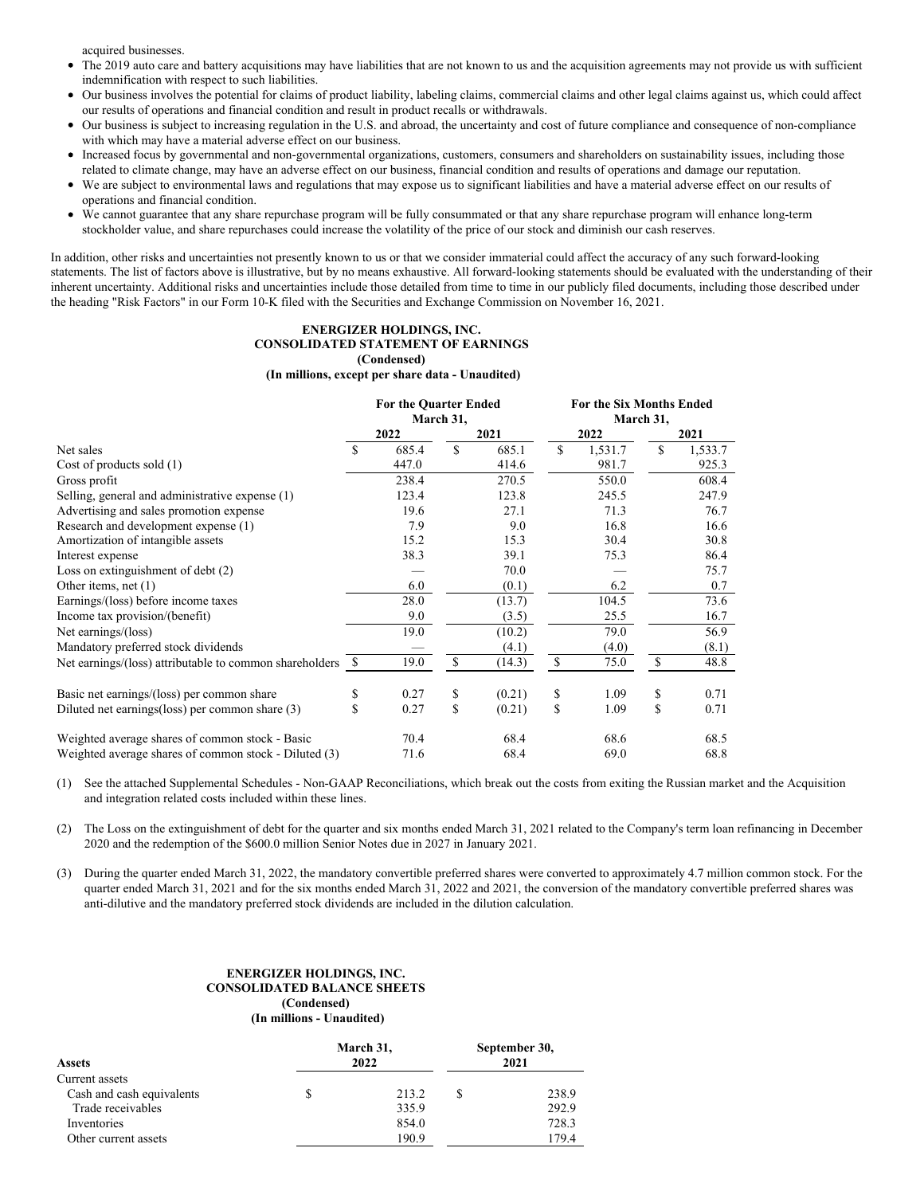acquired businesses.

- The 2019 auto care and battery acquisitions may have liabilities that are not known to us and the acquisition agreements may not provide us with sufficient  $\bullet$ indemnification with respect to such liabilities.
- Our business involves the potential for claims of product liability, labeling claims, commercial claims and other legal claims against us, which could affect our results of operations and financial condition and result in product recalls or withdrawals.
- Our business is subject to increasing regulation in the U.S. and abroad, the uncertainty and cost of future compliance and consequence of non-compliance  $\bullet$ with which may have a material adverse effect on our business.
- $\bullet$ Increased focus by governmental and non-governmental organizations, customers, consumers and shareholders on sustainability issues, including those related to climate change, may have an adverse effect on our business, financial condition and results of operations and damage our reputation.
- We are subject to environmental laws and regulations that may expose us to significant liabilities and have a material adverse effect on our results of operations and financial condition.
- We cannot guarantee that any share repurchase program will be fully consummated or that any share repurchase program will enhance long-term stockholder value, and share repurchases could increase the volatility of the price of our stock and diminish our cash reserves.

In addition, other risks and uncertainties not presently known to us or that we consider immaterial could affect the accuracy of any such forward-looking statements. The list of factors above is illustrative, but by no means exhaustive. All forward-looking statements should be evaluated with the understanding of their inherent uncertainty. Additional risks and uncertainties include those detailed from time to time in our publicly filed documents, including those described under the heading "Risk Factors" in our Form 10-K filed with the Securities and Exchange Commission on November 16, 2021.

#### **ENERGIZER HOLDINGS, INC. CONSOLIDATED STATEMENT OF EARNINGS (Condensed)**

#### **(In millions, except per share data - Unaudited)**

|                                                            |               | <b>For the Quarter Ended</b> |              |        | For the Six Months Ended |         |              |         |  |
|------------------------------------------------------------|---------------|------------------------------|--------------|--------|--------------------------|---------|--------------|---------|--|
|                                                            | March 31,     |                              |              |        |                          |         | March 31,    |         |  |
|                                                            |               | 2022                         |              | 2021   |                          | 2022    |              | 2021    |  |
| Net sales                                                  | <b>S</b>      | 685.4                        | $\mathbb{S}$ | 685.1  | \$                       | 1,531.7 | \$           | 1,533.7 |  |
| Cost of products sold (1)                                  |               | 447.0                        |              | 414.6  |                          | 981.7   |              | 925.3   |  |
| Gross profit                                               |               | 238.4                        |              | 270.5  |                          | 550.0   |              | 608.4   |  |
| Selling, general and administrative expense (1)            |               | 123.4                        |              | 123.8  |                          | 245.5   |              | 247.9   |  |
| Advertising and sales promotion expense                    |               | 19.6                         |              | 27.1   |                          | 71.3    |              | 76.7    |  |
| Research and development expense (1)                       |               | 7.9                          |              | 9.0    |                          | 16.8    |              | 16.6    |  |
| Amortization of intangible assets                          |               | 15.2                         |              | 15.3   |                          | 30.4    |              | 30.8    |  |
| Interest expense                                           |               | 38.3                         |              | 39.1   |                          | 75.3    |              | 86.4    |  |
| Loss on extinguishment of debt $(2)$                       |               |                              |              | 70.0   |                          |         |              | 75.7    |  |
| Other items, net $(1)$                                     |               | 6.0                          |              | (0.1)  |                          | 6.2     |              | 0.7     |  |
| Earnings/(loss) before income taxes                        |               | 28.0                         |              | (13.7) |                          | 104.5   |              | 73.6    |  |
| Income tax provision/(benefit)                             |               | 9.0                          |              | (3.5)  |                          | 25.5    |              | 16.7    |  |
| Net earnings/(loss)                                        |               | 19.0                         |              | (10.2) |                          | 79.0    |              | 56.9    |  |
| Mandatory preferred stock dividends                        |               |                              |              | (4.1)  |                          | (4.0)   |              | (8.1)   |  |
| Net earnings/(loss) attributable to common shareholders \$ |               | 19.0                         | \$           | (14.3) | $\mathbb{S}$             | 75.0    | $\mathbb{S}$ | 48.8    |  |
| Basic net earnings/(loss) per common share                 | \$            | 0.27                         | \$           | (0.21) | \$                       | 1.09    | \$           | 0.71    |  |
| Diluted net earnings (loss) per common share (3)           | <sup>\$</sup> | 0.27                         | \$           | (0.21) | \$                       | 1.09    | $\mathbb{S}$ | 0.71    |  |
| Weighted average shares of common stock - Basic            |               | 70.4                         |              | 68.4   |                          | 68.6    |              | 68.5    |  |
| Weighted average shares of common stock - Diluted (3)      |               | 71.6                         |              | 68.4   |                          | 69.0    |              | 68.8    |  |

(1) See the attached Supplemental Schedules - Non-GAAP Reconciliations, which break out the costs from exiting the Russian market and the Acquisition and integration related costs included within these lines.

(2) The Loss on the extinguishment of debt for the quarter and six months ended March 31, 2021 related to the Company's term loan refinancing in December 2020 and the redemption of the \$600.0 million Senior Notes due in 2027 in January 2021.

(3) During the quarter ended March 31, 2022, the mandatory convertible preferred shares were converted to approximately 4.7 million common stock. For the quarter ended March 31, 2021 and for the six months ended March 31, 2022 and 2021, the conversion of the mandatory convertible preferred shares was anti-dilutive and the mandatory preferred stock dividends are included in the dilution calculation.

#### **ENERGIZER HOLDINGS, INC. CONSOLIDATED BALANCE SHEETS (Condensed) (In millions - Unaudited)**

| <b>Assets</b>             | March 31,<br>2022 | September 30,<br>2021 |       |  |
|---------------------------|-------------------|-----------------------|-------|--|
| Current assets            |                   |                       |       |  |
| Cash and cash equivalents | \$<br>213.2       | S                     | 238.9 |  |
| Trade receivables         | 335.9             |                       | 292.9 |  |
| Inventories               | 854.0             |                       | 728.3 |  |
| Other current assets      | 190.9             |                       | 179.4 |  |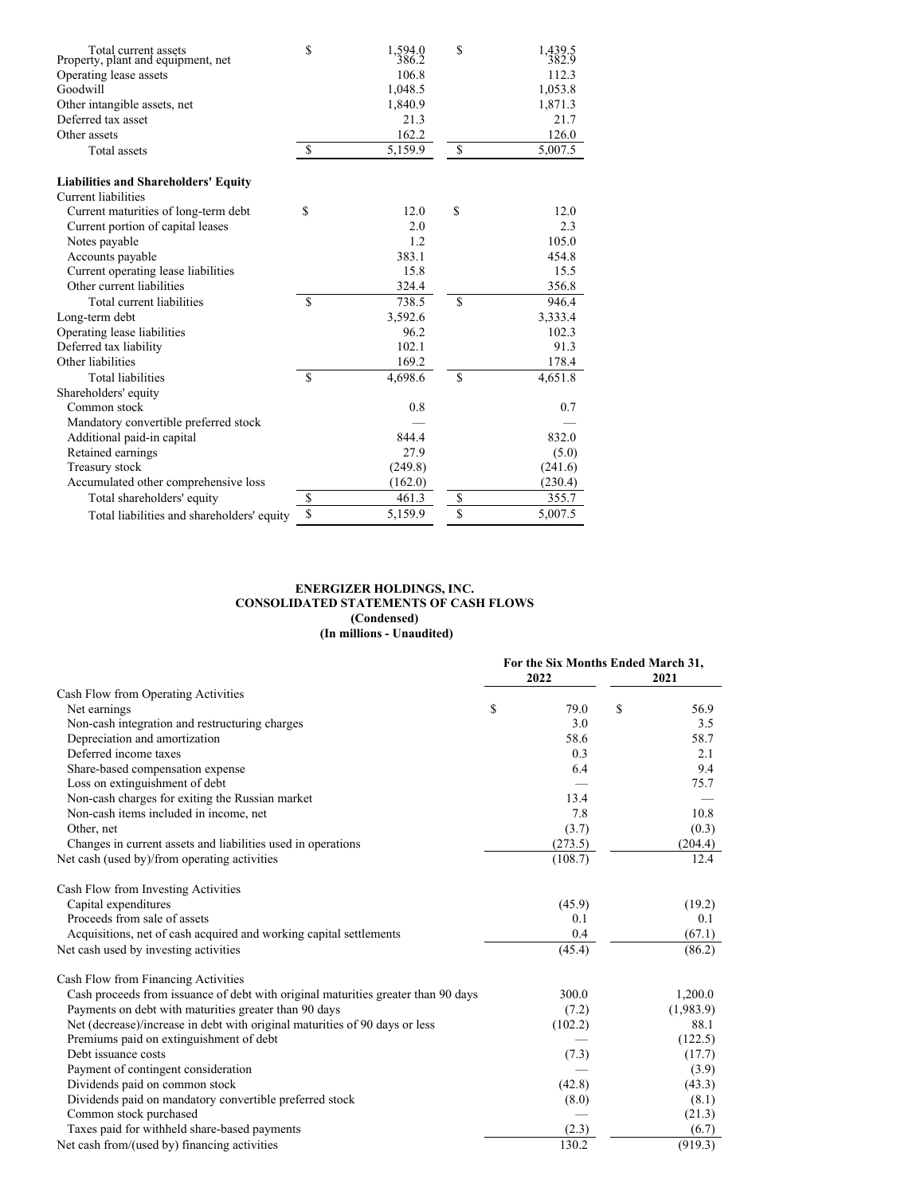| Total current assets<br>Property, plant and equipment, net | \$           | 1,594.0<br>386.2 | \$            | 1,439.5<br>382.9 |
|------------------------------------------------------------|--------------|------------------|---------------|------------------|
| Operating lease assets                                     |              | 106.8            |               | 112.3            |
| Goodwill                                                   |              | 1,048.5          |               | 1,053.8          |
| Other intangible assets, net                               |              | 1,840.9          |               | 1,871.3          |
| Deferred tax asset                                         |              | 21.3             |               | 21.7             |
| Other assets                                               |              | 162.2            |               | 126.0            |
| <b>Total assets</b>                                        | $\mathbb{S}$ | 5,159.9          | \$            | 5,007.5          |
| <b>Liabilities and Shareholders' Equity</b>                |              |                  |               |                  |
| Current liabilities                                        |              |                  |               |                  |
| Current maturities of long-term debt                       | \$           | 12.0             | \$            | 12.0             |
| Current portion of capital leases                          |              | 2.0              |               | 2.3              |
| Notes payable                                              |              | 1.2              |               | 105.0            |
| Accounts payable                                           |              | 383.1            |               | 454.8            |
| Current operating lease liabilities                        |              | 15.8             |               | 15.5             |
| Other current liabilities                                  |              | 324.4            |               | 356.8            |
| Total current liabilities                                  | $\mathbf S$  | 738.5            | <sup>\$</sup> | 946.4            |
| Long-term debt                                             |              | 3,592.6          |               | 3,333.4          |
| Operating lease liabilities                                |              | 96.2             |               | 102.3            |
| Deferred tax liability                                     |              | 102.1            |               | 91.3             |
| Other liabilities                                          |              | 169.2            |               | 178.4            |
| <b>Total liabilities</b>                                   | $\mathbf S$  | 4,698.6          | <sup>\$</sup> | 4,651.8          |
| Shareholders' equity                                       |              |                  |               |                  |
| Common stock                                               |              | 0.8              |               | 0.7              |
| Mandatory convertible preferred stock                      |              |                  |               |                  |
| Additional paid-in capital                                 |              | 844.4            |               | 832.0            |
| Retained earnings                                          |              | 27.9             |               | (5.0)            |
| Treasury stock                                             |              | (249.8)          |               | (241.6)          |
| Accumulated other comprehensive loss                       |              | (162.0)          |               | (230.4)          |
| Total shareholders' equity                                 | \$           | 461.3            | \$            | 355.7            |
| Total liabilities and shareholders' equity                 | \$           | 5,159.9          | \$            | 5,007.5          |

### **ENERGIZER HOLDINGS, INC. CONSOLIDATED STATEMENTS OF CASH FLOWS (Condensed) (In millions - Unaudited)**

|                                                                                   |   | For the Six Months Ended March 31,<br>2022 | 2021       |
|-----------------------------------------------------------------------------------|---|--------------------------------------------|------------|
| Cash Flow from Operating Activities                                               |   |                                            |            |
| Net earnings                                                                      | S | 79.0                                       | \$<br>56.9 |
| Non-cash integration and restructuring charges                                    |   | 3.0                                        | 3.5        |
| Depreciation and amortization                                                     |   | 58.6                                       | 58.7       |
| Deferred income taxes                                                             |   | 0.3                                        | 2.1        |
| Share-based compensation expense                                                  |   | 6.4                                        | 9.4        |
| Loss on extinguishment of debt                                                    |   |                                            | 75.7       |
| Non-cash charges for exiting the Russian market                                   |   | 13.4                                       |            |
| Non-cash items included in income, net                                            |   | 7.8                                        | 10.8       |
| Other, net                                                                        |   | (3.7)                                      | (0.3)      |
| Changes in current assets and liabilities used in operations                      |   | (273.5)                                    | (204.4)    |
| Net cash (used by)/from operating activities                                      |   | (108.7)                                    | 12.4       |
| Cash Flow from Investing Activities                                               |   |                                            |            |
| Capital expenditures                                                              |   | (45.9)                                     | (19.2)     |
| Proceeds from sale of assets                                                      |   | 0.1                                        | 0.1        |
| Acquisitions, net of cash acquired and working capital settlements                |   | 0.4                                        | (67.1)     |
| Net cash used by investing activities                                             |   | (45.4)                                     | (86.2)     |
| Cash Flow from Financing Activities                                               |   |                                            |            |
| Cash proceeds from issuance of debt with original maturities greater than 90 days |   | 300.0                                      | 1,200.0    |
| Payments on debt with maturities greater than 90 days                             |   | (7.2)                                      | (1,983.9)  |
| Net (decrease)/increase in debt with original maturities of 90 days or less       |   | (102.2)                                    | 88.1       |
| Premiums paid on extinguishment of debt                                           |   |                                            | (122.5)    |
| Debt issuance costs                                                               |   | (7.3)                                      | (17.7)     |
| Payment of contingent consideration                                               |   |                                            | (3.9)      |
| Dividends paid on common stock                                                    |   | (42.8)                                     | (43.3)     |
| Dividends paid on mandatory convertible preferred stock                           |   | (8.0)                                      | (8.1)      |
| Common stock purchased                                                            |   |                                            | (21.3)     |
| Taxes paid for withheld share-based payments                                      |   | (2.3)                                      | (6.7)      |
| Net cash from/(used by) financing activities                                      |   | 130.2                                      | (919.3)    |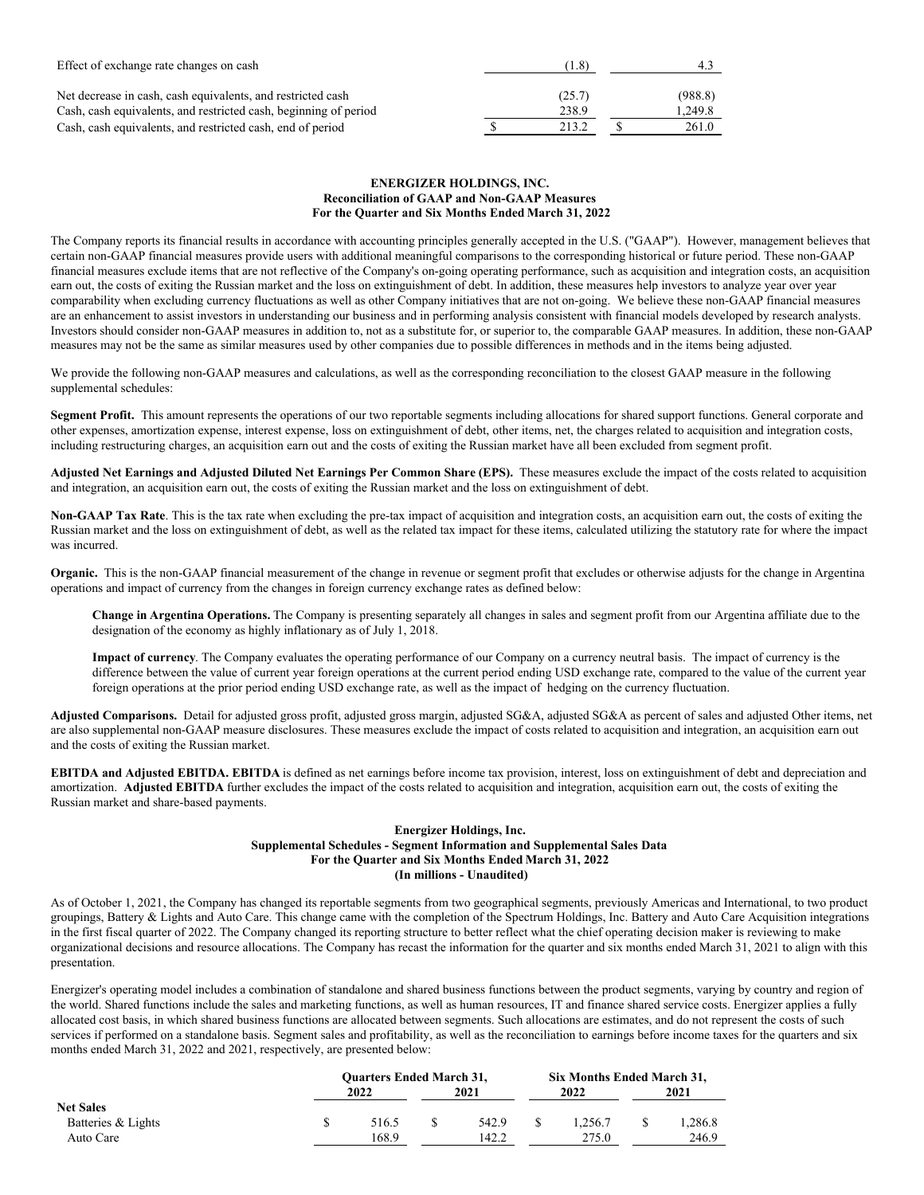| Effect of exchange rate changes on cash                                                                                         | (1.8)           | 4.3                |
|---------------------------------------------------------------------------------------------------------------------------------|-----------------|--------------------|
| Net decrease in cash, cash equivalents, and restricted cash<br>Cash, cash equivalents, and restricted cash, beginning of period | (25.7)<br>238.9 | (988.8)<br>1.249.8 |
| Cash, cash equivalents, and restricted cash, end of period                                                                      | 213.2           | 261.0              |

## **ENERGIZER HOLDINGS, INC. Reconciliation of GAAP and Non-GAAP Measures For the Quarter and Six Months Ended March 31, 2022**

The Company reports its financial results in accordance with accounting principles generally accepted in the U.S. ("GAAP"). However, management believes that certain non-GAAP financial measures provide users with additional meaningful comparisons to the corresponding historical or future period. These non-GAAP financial measures exclude items that are not reflective of the Company's on-going operating performance, such as acquisition and integration costs, an acquisition earn out, the costs of exiting the Russian market and the loss on extinguishment of debt. In addition, these measures help investors to analyze year over year comparability when excluding currency fluctuations as well as other Company initiatives that are not on-going. We believe these non-GAAP financial measures are an enhancement to assist investors in understanding our business and in performing analysis consistent with financial models developed by research analysts. Investors should consider non-GAAP measures in addition to, not as a substitute for, or superior to, the comparable GAAP measures. In addition, these non-GAAP measures may not be the same as similar measures used by other companies due to possible differences in methods and in the items being adjusted.

We provide the following non-GAAP measures and calculations, as well as the corresponding reconciliation to the closest GAAP measure in the following supplemental schedules:

**Segment Profit.** This amount represents the operations of our two reportable segments including allocations for shared support functions. General corporate and other expenses, amortization expense, interest expense, loss on extinguishment of debt, other items, net, the charges related to acquisition and integration costs, including restructuring charges, an acquisition earn out and the costs of exiting the Russian market have all been excluded from segment profit.

Adjusted Net Earnings and Adjusted Diluted Net Earnings Per Common Share (EPS). These measures exclude the impact of the costs related to acquisition and integration, an acquisition earn out, the costs of exiting the Russian market and the loss on extinguishment of debt.

**Non-GAAP Tax Rate**. This is the tax rate when excluding the pre-tax impact of acquisition and integration costs, an acquisition earn out, the costs of exiting the Russian market and the loss on extinguishment of debt, as well as the related tax impact for these items, calculated utilizing the statutory rate for where the impact was incurred.

**Organic.** This is the non-GAAP financial measurement of the change in revenue or segment profit that excludes or otherwise adjusts for the change in Argentina operations and impact of currency from the changes in foreign currency exchange rates as defined below:

**Change in Argentina Operations.** The Company is presenting separately all changes in sales and segment profit from our Argentina affiliate due to the designation of the economy as highly inflationary as of July 1, 2018.

**Impact of currency**. The Company evaluates the operating performance of our Company on a currency neutral basis. The impact of currency is the difference between the value of current year foreign operations at the current period ending USD exchange rate, compared to the value of the current year foreign operations at the prior period ending USD exchange rate, as well as the impact of hedging on the currency fluctuation.

**Adjusted Comparisons.** Detail for adjusted gross profit, adjusted gross margin, adjusted SG&A, adjusted SG&A as percent of sales and adjusted Other items, net are also supplemental non-GAAP measure disclosures. These measures exclude the impact of costs related to acquisition and integration, an acquisition earn out and the costs of exiting the Russian market.

**EBITDA and Adjusted EBITDA. EBITDA** is defined as net earnings before income tax provision, interest, loss on extinguishment of debt and depreciation and amortization. **Adjusted EBITDA** further excludes the impact of the costs related to acquisition and integration, acquisition earn out, the costs of exiting the Russian market and share-based payments.

## **Energizer Holdings, Inc. Supplemental Schedules - Segment Information and Supplemental Sales Data For the Quarter and Six Months Ended March 31, 2022 (In millions - Unaudited)**

As of October 1, 2021, the Company has changed its reportable segments from two geographical segments, previously Americas and International, to two product groupings, Battery & Lights and Auto Care. This change came with the completion of the Spectrum Holdings, Inc. Battery and Auto Care Acquisition integrations in the first fiscal quarter of 2022. The Company changed its reporting structure to better reflect what the chief operating decision maker is reviewing to make organizational decisions and resource allocations. The Company has recast the information for the quarter and six months ended March 31, 2021 to align with this presentation.

Energizer's operating model includes a combination of standalone and shared business functions between the product segments, varying by country and region of the world. Shared functions include the sales and marketing functions, as well as human resources, IT and finance shared service costs. Energizer applies a fully allocated cost basis, in which shared business functions are allocated between segments. Such allocations are estimates, and do not represent the costs of such services if performed on a standalone basis. Segment sales and profitability, as well as the reconciliation to earnings before income taxes for the quarters and six months ended March 31, 2022 and 2021, respectively, are presented below:

|                    | <b>Ouarters Ended March 31,</b> |      |       |         | Six Months Ended March 31, |        |  |
|--------------------|---------------------------------|------|-------|---------|----------------------------|--------|--|
|                    | 2022                            | 2021 |       | 2022    | 2021                       |        |  |
| <b>Net Sales</b>   |                                 |      |       |         |                            |        |  |
| Batteries & Lights | 516.5                           |      | 542.9 | 1.256.7 |                            | .286.8 |  |
| Auto Care          | 168.9                           |      | 142.2 | 275.0   |                            | 246.9  |  |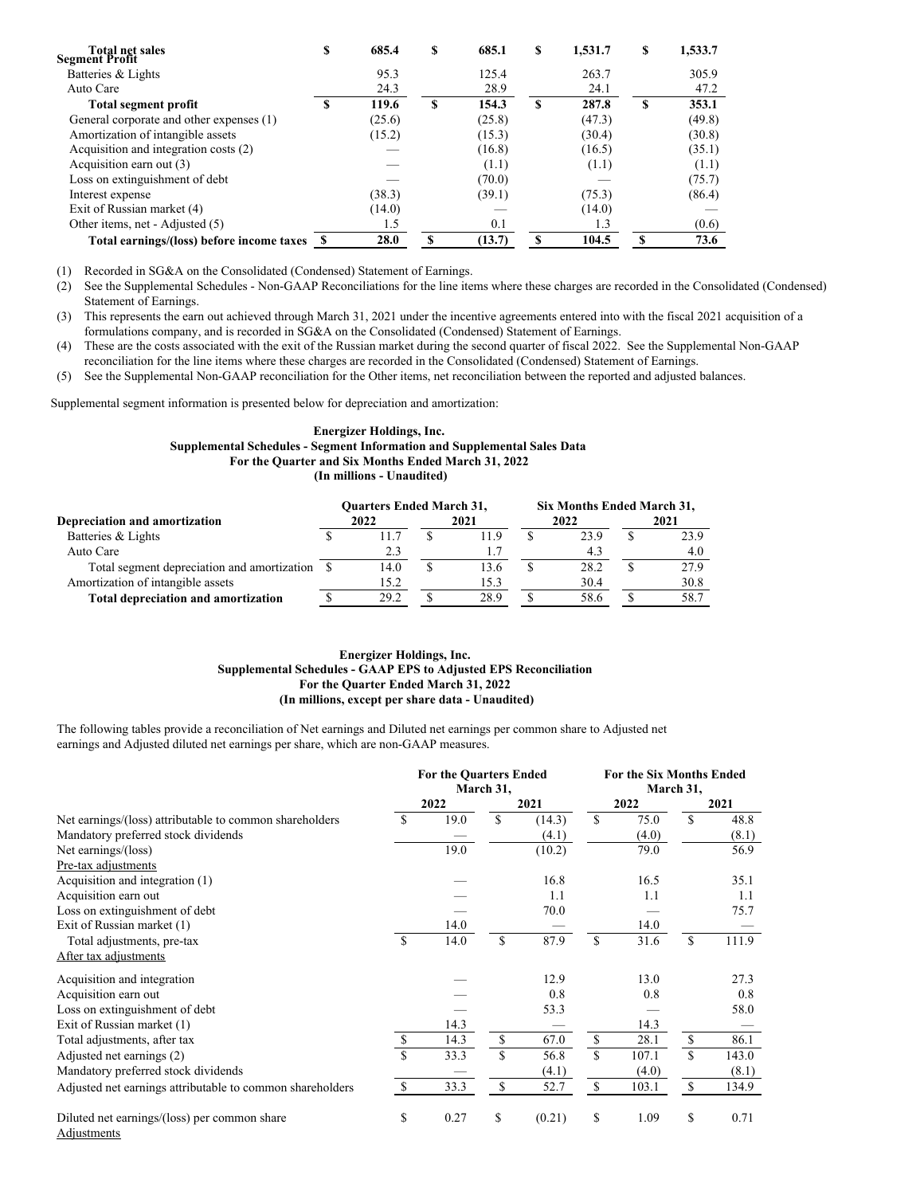| <b>Total net sales</b><br><b>Segment Profit</b> | S | 685.4  | S | 685.1  | S  | 1,531.7 | S | 1,533.7 |
|-------------------------------------------------|---|--------|---|--------|----|---------|---|---------|
| Batteries & Lights                              |   | 95.3   |   | 125.4  |    | 263.7   |   | 305.9   |
| Auto Care                                       |   | 24.3   |   | 28.9   |    | 24.1    |   | 47.2    |
| <b>Total segment profit</b>                     | S | 119.6  | S | 154.3  | \$ | 287.8   | S | 353.1   |
| General corporate and other expenses (1)        |   | (25.6) |   | (25.8) |    | (47.3)  |   | (49.8)  |
| Amortization of intangible assets               |   | (15.2) |   | (15.3) |    | (30.4)  |   | (30.8)  |
| Acquisition and integration costs (2)           |   |        |   | (16.8) |    | (16.5)  |   | (35.1)  |
| Acquisition earn out (3)                        |   |        |   | (1.1)  |    | (1.1)   |   | (1.1)   |
| Loss on extinguishment of debt                  |   |        |   | (70.0) |    |         |   | (75.7)  |
| Interest expense                                |   | (38.3) |   | (39.1) |    | (75.3)  |   | (86.4)  |
| Exit of Russian market (4)                      |   | (14.0) |   |        |    | (14.0)  |   |         |
| Other items, net - Adjusted (5)                 |   | 1.5    |   | 0.1    |    | 1.3     |   | (0.6)   |
| Total earnings/(loss) before income taxes       |   | 28.0   | S | (13.7) | S  | 104.5   |   | 73.6    |

(1) Recorded in SG&A on the Consolidated (Condensed) Statement of Earnings.

(2) See the Supplemental Schedules - Non-GAAP Reconciliations for the line items where these charges are recorded in the Consolidated (Condensed) Statement of Earnings.

(3) This represents the earn out achieved through March 31, 2021 under the incentive agreements entered into with the fiscal 2021 acquisition of a formulations company, and is recorded in SG&A on the Consolidated (Condensed) Statement of Earnings.

(4) These are the costs associated with the exit of the Russian market during the second quarter of fiscal 2022. See the Supplemental Non-GAAP reconciliation for the line items where these charges are recorded in the Consolidated (Condensed) Statement of Earnings.

(5) See the Supplemental Non-GAAP reconciliation for the Other items, net reconciliation between the reported and adjusted balances.

Supplemental segment information is presented below for depreciation and amortization:

# **Energizer Holdings, Inc. Supplemental Schedules - Segment Information and Supplemental Sales Data For the Quarter and Six Months Ended March 31, 2022 (In millions - Unaudited)**

|                                             |  | <b>Ouarters Ended March 31,</b> |      | Six Months Ended March 31, |      |   |      |
|---------------------------------------------|--|---------------------------------|------|----------------------------|------|---|------|
| Depreciation and amortization               |  | 2022                            | 2021 | 2022                       |      |   | 2021 |
| Batteries & Lights                          |  | 11.7                            | 11.9 |                            | 23.9 |   | 23.9 |
| Auto Care                                   |  | 2.3                             |      |                            | 4.3  |   | 4.0  |
| Total segment depreciation and amortization |  | 14.0                            | 13.6 |                            | 28.2 | S | 27.9 |
| Amortization of intangible assets           |  | 15.2                            | 15.3 |                            | 30.4 |   | 30.8 |
| <b>Total depreciation and amortization</b>  |  | 29.2                            | 28.9 |                            | 58.6 |   | 58.7 |

# **Energizer Holdings, Inc. Supplemental Schedules - GAAP EPS to Adjusted EPS Reconciliation For the Quarter Ended March 31, 2022 (In millions, except per share data - Unaudited)**

The following tables provide a reconciliation of Net earnings and Diluted net earnings per common share to Adjusted net earnings and Adjusted diluted net earnings per share, which are non-GAAP measures.

|                                                             | <b>For the Quarters Ended</b><br>March 31, |      |             |        |             | <b>For the Six Months Ended</b><br>March 31, |             |       |  |
|-------------------------------------------------------------|--------------------------------------------|------|-------------|--------|-------------|----------------------------------------------|-------------|-------|--|
|                                                             |                                            | 2022 |             | 2021   |             | 2022                                         |             | 2021  |  |
| Net earnings/(loss) attributable to common shareholders     | <sup>\$</sup>                              | 19.0 | $\mathbf S$ | (14.3) | $\mathbf S$ | 75.0                                         | $\mathbf S$ | 48.8  |  |
| Mandatory preferred stock dividends                         |                                            |      |             | (4.1)  |             | (4.0)                                        |             | (8.1) |  |
| Net earnings/(loss)                                         |                                            | 19.0 |             | (10.2) |             | 79.0                                         |             | 56.9  |  |
| Pre-tax adjustments                                         |                                            |      |             |        |             |                                              |             |       |  |
| Acquisition and integration (1)                             |                                            |      |             | 16.8   |             | 16.5                                         |             | 35.1  |  |
| Acquisition earn out                                        |                                            |      |             | 1.1    |             | 1.1                                          |             | 1.1   |  |
| Loss on extinguishment of debt                              |                                            |      |             | 70.0   |             |                                              |             | 75.7  |  |
| Exit of Russian market (1)                                  |                                            | 14.0 |             |        |             | 14.0                                         |             |       |  |
| Total adjustments, pre-tax                                  | <sup>\$</sup>                              | 14.0 | \$          | 87.9   | S           | 31.6                                         | S           | 111.9 |  |
| After tax adjustments                                       |                                            |      |             |        |             |                                              |             |       |  |
| Acquisition and integration                                 |                                            |      |             | 12.9   |             | 13.0                                         |             | 27.3  |  |
| Acquisition earn out                                        |                                            |      |             | 0.8    |             | 0.8                                          |             | 0.8   |  |
| Loss on extinguishment of debt                              |                                            |      |             | 53.3   |             |                                              |             | 58.0  |  |
| Exit of Russian market (1)                                  |                                            | 14.3 |             |        |             | 14.3                                         |             |       |  |
| Total adjustments, after tax                                | \$                                         | 14.3 | \$          | 67.0   | \$          | 28.1                                         | \$          | 86.1  |  |
| Adjusted net earnings (2)                                   | $\mathbf S$                                | 33.3 | \$          | 56.8   | \$.         | 107.1                                        | S           | 143.0 |  |
| Mandatory preferred stock dividends                         |                                            |      |             | (4.1)  |             | (4.0)                                        |             | (8.1) |  |
| Adjusted net earnings attributable to common shareholders   | <sup>\$</sup>                              | 33.3 | \$          | 52.7   | \$          | 103.1                                        | S           | 134.9 |  |
| Diluted net earnings/(loss) per common share<br>Adjustments | \$                                         | 0.27 | \$          | (0.21) | \$          | 1.09                                         | \$          | 0.71  |  |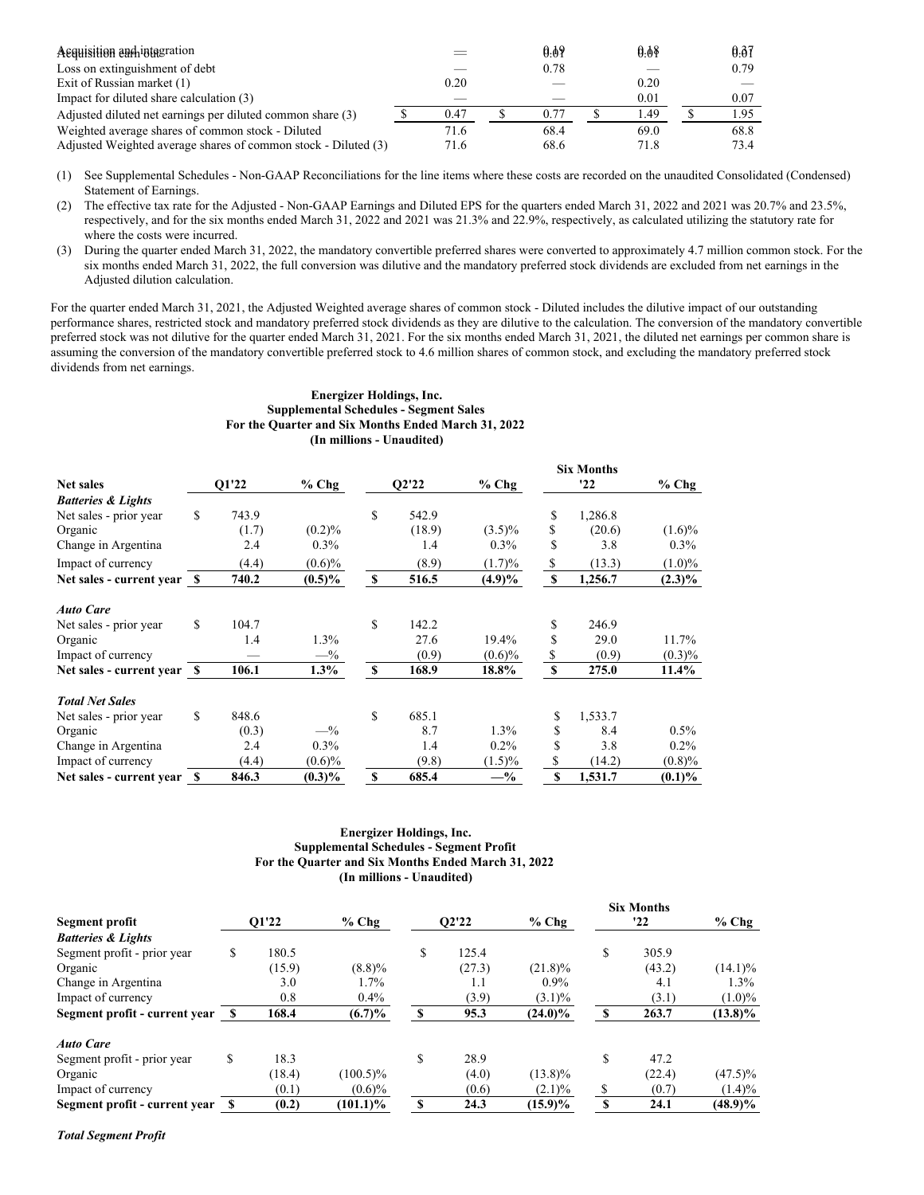| A Equisition eachining                                         |      | 0.09 | 0.08 | 0.37 |
|----------------------------------------------------------------|------|------|------|------|
| Loss on extinguishment of debt                                 |      | 0.78 |      | 0.79 |
| Exit of Russian market (1)                                     | 0.20 |      | 0.20 |      |
| Impact for diluted share calculation (3)                       |      |      | 0.01 | 0.07 |
| Adjusted diluted net earnings per diluted common share (3)     | 0.47 | 0.77 | 1.49 | 1.95 |
| Weighted average shares of common stock - Diluted              | 71.6 | 68.4 | 69.0 | 68.8 |
| Adjusted Weighted average shares of common stock - Diluted (3) | 71.6 | 68.6 | 71.8 | 73.4 |

(1) See Supplemental Schedules - Non-GAAP Reconciliations for the line items where these costs are recorded on the unaudited Consolidated (Condensed) Statement of Earnings.

(2) The effective tax rate for the Adjusted - Non-GAAP Earnings and Diluted EPS for the quarters ended March 31, 2022 and 2021 was 20.7% and 23.5%, respectively, and for the six months ended March 31, 2022 and 2021 was 21.3% and 22.9%, respectively, as calculated utilizing the statutory rate for where the costs were incurred.

(3) During the quarter ended March 31, 2022, the mandatory convertible preferred shares were converted to approximately 4.7 million common stock. For the six months ended March 31, 2022, the full conversion was dilutive and the mandatory preferred stock dividends are excluded from net earnings in the Adjusted dilution calculation.

For the quarter ended March 31, 2021, the Adjusted Weighted average shares of common stock - Diluted includes the dilutive impact of our outstanding performance shares, restricted stock and mandatory preferred stock dividends as they are dilutive to the calculation. The conversion of the mandatory convertible preferred stock was not dilutive for the quarter ended March 31, 2021. For the six months ended March 31, 2021, the diluted net earnings per common share is assuming the conversion of the mandatory convertible preferred stock to 4.6 million shares of common stock, and excluding the mandatory preferred stock dividends from net earnings.

#### **Energizer Holdings, Inc. Supplemental Schedules - Segment Sales For the Quarter and Six Months Ended March 31, 2022 (In millions - Unaudited)**

|                               |             |           |    |        |           |             | <b>Six Months</b> |           |
|-------------------------------|-------------|-----------|----|--------|-----------|-------------|-------------------|-----------|
| <b>Net sales</b>              | O1'22       | $%$ Chg   |    | O2'22  | $%$ Chg   |             | '22               | $%$ Chg   |
| <b>Batteries &amp; Lights</b> |             |           |    |        |           |             |                   |           |
| Net sales - prior year        | \$<br>743.9 |           | \$ | 542.9  |           | S           | 1,286.8           |           |
| Organic                       | (1.7)       | $(0.2)\%$ |    | (18.9) | $(3.5)\%$ | \$          | (20.6)            | $(1.6)\%$ |
| Change in Argentina           | 2.4         | $0.3\%$   |    | 1.4    | $0.3\%$   | S           | 3.8               | $0.3\%$   |
| Impact of currency            | (4.4)       | $(0.6)\%$ |    | (8.9)  | (1.7)%    | \$          | (13.3)            | $(1.0)\%$ |
| Net sales - current year \$   | 740.2       | $(0.5)\%$ | \$ | 516.5  | $(4.9)\%$ | S           | 1,256.7           | $(2.3)\%$ |
| <b>Auto Care</b>              |             |           |    |        |           |             |                   |           |
| Net sales - prior year        | \$<br>104.7 |           | S  | 142.2  |           | S           | 246.9             |           |
| Organic                       | 1.4         | $1.3\%$   |    | 27.6   | 19.4%     | S           | 29.0              | 11.7%     |
| Impact of currency            |             | $-$ %     |    | (0.9)  | $(0.6)\%$ | \$          | (0.9)             | $(0.3)\%$ |
| Net sales - current year \$   | 106.1       | $1.3\%$   | \$ | 168.9  | 18.8%     | $\mathbf S$ | 275.0             | $11.4\%$  |
| <b>Total Net Sales</b>        |             |           |    |        |           |             |                   |           |
| Net sales - prior year        | \$<br>848.6 |           | S  | 685.1  |           | S           | 1,533.7           |           |
| Organic                       | (0.3)       | $-$ %     |    | 8.7    | 1.3%      | \$          | 8.4               | $0.5\%$   |
| Change in Argentina           | 2.4         | $0.3\%$   |    | 1.4    | $0.2\%$   | \$          | 3.8               | $0.2\%$   |
| Impact of currency            | (4.4)       | $(0.6)\%$ |    | (9.8)  | $(1.5)\%$ | S           | (14.2)            | $(0.8)\%$ |
| Net sales - current year      | \$<br>846.3 | $(0.3)\%$ | \$ | 685.4  | $-$ %     | \$          | 1,531.7           | $(0.1)\%$ |

# **Energizer Holdings, Inc. Supplemental Schedules - Segment Profit For the Quarter and Six Months Ended March 31, 2022 (In millions - Unaudited)**

**Six Months**

|                                  |       |        |             |       |        |            |          | Six Months |            |
|----------------------------------|-------|--------|-------------|-------|--------|------------|----------|------------|------------|
| Segment profit                   | O1'22 |        | $%$ Chg     | O2'22 |        | $%$ Chg    |          | '22        | $%$ Chg    |
| <b>Batteries &amp; Lights</b>    |       |        |             |       |        |            |          |            |            |
| Segment profit - prior year      | \$    | 180.5  |             | \$    | 125.4  |            | \$       | 305.9      |            |
| Organic                          |       | (15.9) | $(8.8)\%$   |       | (27.3) | $(21.8)\%$ |          | (43.2)     | $(14.1)\%$ |
| Change in Argentina              |       | 3.0    | 1.7%        |       | 1.1    | $0.9\%$    |          | 4.1        | $1.3\%$    |
| Impact of currency               |       | 0.8    | 0.4%        |       | (3.9)  | $(3.1)\%$  |          | (3.1)      | $(1.0)\%$  |
| Segment profit - current year \$ |       | 168.4  | $(6.7)\%$   | S     | 95.3   | $(24.0)\%$ | <b>S</b> | 263.7      | $(13.8)\%$ |
| <b>Auto Care</b>                 |       |        |             |       |        |            |          |            |            |
| Segment profit - prior year      | S     | 18.3   |             | \$    | 28.9   |            | \$       | 47.2       |            |
| Organic                          |       | (18.4) | $(100.5)\%$ |       | (4.0)  | $(13.8)\%$ |          | (22.4)     | $(47.5)\%$ |
| Impact of currency               |       | (0.1)  | $(0.6)\%$   |       | (0.6)  | $(2.1)\%$  | S        | (0.7)      | $(1.4)\%$  |
| Segment profit - current year \$ |       | (0.2)  | $(101.1)\%$ | \$    | 24.3   | $(15.9)\%$ | <b>S</b> | 24.1       | $(48.9)\%$ |

*Total Segment Profit*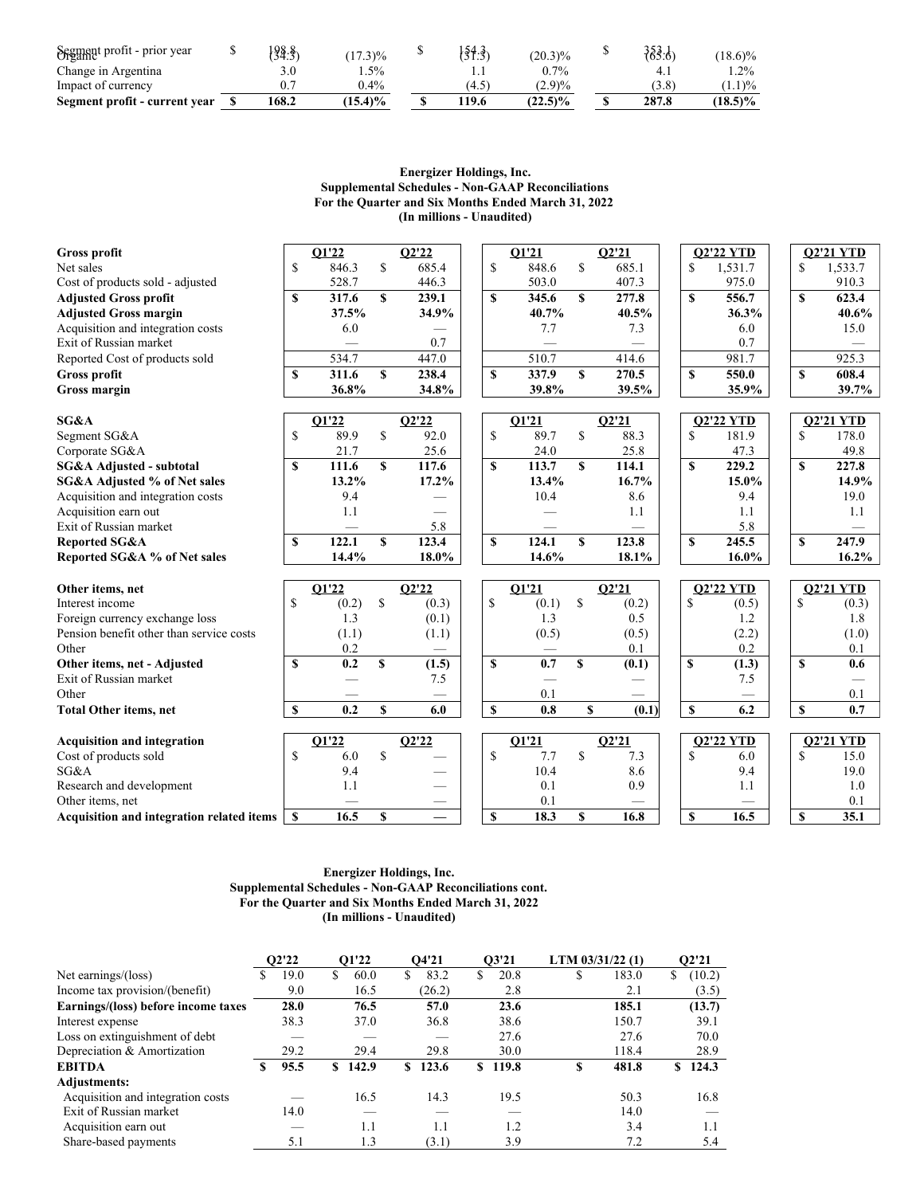| Segment profit - prior year   | 198.8 | $(17.3)\%$ | $\frac{54.3}{5}$ | $(20.3)\%$ | $\{53.6\}$ | $(18.6)\%$ |
|-------------------------------|-------|------------|------------------|------------|------------|------------|
| Change in Argentina           |       | $.5\%$     |                  | $0.7\%$    | 4.1        | $1.2\%$    |
| Impact of currency            | 0.7   | $0.4\%$    | $4.5^{\circ}$    | (2.9)%     | (3.8)      | (1.1)%     |
| Segment profit - current year | 168.2 | $(15.4)\%$ | 119.6            | $(22.5)\%$ | 287.8      | $18.5\%$   |

## **Energizer Holdings, Inc. Supplemental Schedules - Non-GAAP Reconciliations For the Quarter and Six Months Ended March 31, 2022 (In millions - Unaudited)**

| Gross profit                                      |               | O1'22        |              | O2'22 |              | O1'21        |               | Q2'21        |             | <b>O2'22 YTD</b> |              | <b>O2'21 YTD</b>         |
|---------------------------------------------------|---------------|--------------|--------------|-------|--------------|--------------|---------------|--------------|-------------|------------------|--------------|--------------------------|
| Net sales                                         | <sup>\$</sup> | 846.3        | \$           | 685.4 | \$           | 848.6        | \$            | 685.1        | \$          | 1,531.7          | S            | 1,533.7                  |
| Cost of products sold - adjusted                  |               | 528.7        |              | 446.3 |              | 503.0        |               | 407.3        |             | 975.0            |              | 910.3                    |
| <b>Adjusted Gross profit</b>                      | S             | 317.6        | \$           | 239.1 | S            | 345.6        | $\mathbf S$   | 277.8        | $\mathbf S$ | 556.7            | S            | 623.4                    |
| <b>Adjusted Gross margin</b>                      |               | 37.5%        |              | 34.9% |              | 40.7%        |               | 40.5%        |             | 36.3%            |              | 40.6%                    |
| Acquisition and integration costs                 |               | 6.0          |              |       |              | 7.7          |               | 7.3          |             | 6.0              |              | 15.0                     |
| Exit of Russian market                            |               |              |              | 0.7   |              |              |               |              |             | 0.7              |              |                          |
| Reported Cost of products sold                    |               | 534.7        |              | 447.0 |              | 510.7        |               | 414.6        |             | 981.7            |              | 925.3                    |
| Gross profit                                      | \$            | 311.6        | $\mathbf S$  | 238.4 | $\mathbf S$  | 337.9        | $\mathbf S$   | 270.5        | $\mathbf S$ | 550.0            | $\mathbf S$  | 608.4                    |
| Gross margin                                      |               | 36.8%        |              | 34.8% |              | 39.8%        |               | 39.5%        |             | 35.9%            |              | 39.7%                    |
|                                                   |               |              |              |       |              |              |               |              |             |                  |              |                          |
| SG&A                                              |               | Q1'22        |              | Q2'22 |              | O1'21        |               | O2'21        |             | <b>O2'22 YTD</b> |              | <b>O2'21 YTD</b>         |
| Segment SG&A                                      | \$            | 89.9         | $\mathbf S$  | 92.0  | $\mathbf S$  | 89.7         | $\mathbf S$   | 88.3         | \$          | 181.9            | S            | 178.0                    |
| Corporate SG&A                                    |               | 21.7         |              | 25.6  |              | 24.0         |               | 25.8         |             | 47.3             |              | 49.8                     |
| SG&A Adjusted - subtotal                          | \$            | 111.6        | $\mathbf{s}$ | 117.6 | $\mathbf{s}$ | 113.7        | $\mathbf{s}$  | 114.1        | $\mathbf S$ | 229.2            | $\mathbf{s}$ | 227.8                    |
| SG&A Adjusted % of Net sales                      |               | 13.2%        |              | 17.2% |              | 13.4%        |               | 16.7%        |             | 15.0%            |              | 14.9%                    |
| Acquisition and integration costs                 |               | 9.4          |              |       |              | 10.4         |               | 8.6          |             | 9.4              |              | 19.0                     |
| Acquisition earn out                              |               | 1.1          |              |       |              |              |               | 1.1          |             | 1.1              |              | 1.1                      |
| Exit of Russian market                            |               |              |              | 5.8   |              |              |               |              |             | 5.8              |              |                          |
| <b>Reported SG&amp;A</b>                          | S             | 122.1        | $\mathbf{s}$ | 123.4 | S            | 124.1        | $\mathbf{s}$  | 123.8        | $\mathbf S$ | 245.5            | S            | 247.9                    |
| Reported SG&A % of Net sales                      |               | 14.4%        |              | 18.0% |              | 14.6%        |               | 18.1%        |             | 16.0%            |              | 16.2%                    |
|                                                   |               |              |              |       |              |              |               |              |             |                  |              |                          |
| Other items, net<br>Interest income               | <sup>\$</sup> | O1'22        |              | O2'22 | \$           | O1'21        |               | O2'21        | \$          | <b>O2'22 YTD</b> | $\mathbb{S}$ | <b>O2'21 YTD</b>         |
|                                                   |               | (0.2)<br>1.3 | \$           | (0.3) |              | (0.1)<br>1.3 | \$            | (0.2)<br>0.5 |             | (0.5)<br>1.2     |              | (0.3)<br>1.8             |
| Foreign currency exchange loss                    |               |              |              | (0.1) |              |              |               |              |             |                  |              |                          |
| Pension benefit other than service costs<br>Other |               | (1.1)        |              | (1.1) |              | (0.5)        |               | (0.5)        |             | (2.2)            |              | (1.0)                    |
|                                                   |               | 0.2          |              |       |              |              |               | 0.1          |             | 0.2              |              | 0.1                      |
| Other items, net - Adjusted                       | $\mathbf{s}$  | 0.2          | $\mathbf{s}$ | (1.5) | S            | 0.7          | S             | (0.1)        | S           | (1.3)            | S            | 0.6                      |
| Exit of Russian market                            |               |              |              | 7.5   |              |              |               |              |             | 7.5              |              | $\overline{\phantom{a}}$ |
| Other                                             |               |              |              |       |              | 0.1          |               |              |             |                  |              | 0.1                      |
| <b>Total Other items, net</b>                     | \$            | 0.2          | \$           | 6.0   | \$           | 0.8          | \$            | (0.1)        | \$          | 6.2              | $\mathbf S$  | 0.7                      |
| <b>Acquisition and integration</b>                |               | O1'22        |              | Q2'22 |              | O1'21        |               | Q2'21        |             | <b>O2'22 YTD</b> |              | <b>O2'21 YTD</b>         |
| Cost of products sold                             | \$            | 6.0          | $\mathbb{S}$ |       | S            | 7.7          | <sup>\$</sup> | 7.3          | \$.         | 6.0              | S            | 15.0                     |
| SG&A                                              |               | 9.4          |              |       |              | 10.4         |               | 8.6          |             | 9.4              |              | 19.0                     |
| Research and development                          |               | 1.1          |              |       |              | 0.1          |               | 0.9          |             | 1.1              |              | 1.0                      |
| Other items, net                                  |               |              |              |       |              | 0.1          |               |              |             |                  |              | 0.1                      |
| Acquisition and integration related items         | $\mathbf{s}$  | 16.5         | $\mathbf S$  |       | $\mathbf S$  | 18.3         | $\mathbf S$   | 16.8         | $\mathbf S$ | 16.5             | $\mathbf{s}$ | 35.1                     |

#### **Energizer Holdings, Inc. Supplemental Schedules - Non-GAAP Reconciliations cont. For the Quarter and Six Months Ended March 31, 2022 (In millions - Unaudited)**

|                                     | O2'22 |    | O1'22 |    | 04'21  |    | 03'21 |     | LTM $03/31/22(1)$ |    | 02'21  |
|-------------------------------------|-------|----|-------|----|--------|----|-------|-----|-------------------|----|--------|
| Net earnings/(loss)                 | 19.0  | S. | 60.0  | \$ | 83.2   | S  | 20.8  | аĐ. | 183.0             | \$ | (10.2) |
| Income tax provision/(benefit)      | 9.0   |    | 16.5  |    | (26.2) |    | 2.8   |     | 2.1               |    | (3.5)  |
| Earnings/(loss) before income taxes | 28.0  |    | 76.5  |    | 57.0   |    | 23.6  |     | 185.1             |    | (13.7) |
| Interest expense                    | 38.3  |    | 37.0  |    | 36.8   |    | 38.6  |     | 150.7             |    | 39.1   |
| Loss on extinguishment of debt      |       |    |       |    |        |    | 27.6  |     | 27.6              |    | 70.0   |
| Depreciation & Amortization         | 29.2  |    | 29.4  |    | 29.8   |    | 30.0  |     | 118.4             |    | 28.9   |
| <b>EBITDA</b>                       | 95.5  | S. | 142.9 | S. | 123.6  | \$ | 119.8 | S   | 481.8             | S. | 124.3  |
| <b>Adjustments:</b>                 |       |    |       |    |        |    |       |     |                   |    |        |
| Acquisition and integration costs   |       |    | 16.5  |    | 14.3   |    | 19.5  |     | 50.3              |    | 16.8   |
| Exit of Russian market              | 14.0  |    |       |    |        |    |       |     | 14.0              |    |        |
| Acquisition earn out                |       |    | 1.1   |    | 1.1    |    | 1.2   |     | 3.4               |    | 1.1    |
| Share-based payments                | 5.1   |    | 1.3   |    | (3.1)  |    | 3.9   |     | 7.2               |    | 5.4    |